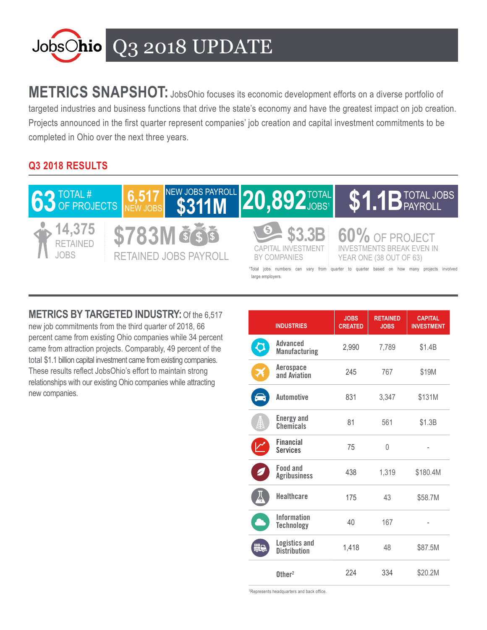

**METRICS SNAPSHOT:** JobsOhio focuses its economic development efforts on a diverse portfolio of targeted industries and business functions that drive the state's economy and have the greatest impact on job creation. Projects announced in the first quarter represent companies' job creation and capital investment commitments to be completed in Ohio over the next three years.

## **Q3 2018 RESULTS**



**METRICS BY TARGETED INDUSTRY:**Of the 6,517 new job commitments from the third quarter of 2018, 66 percent came from existing Ohio companies while 34 percent came from attraction projects. Comparably, 49 percent of the total \$1.1 billion capital investment came from existing companies. These results reflect JobsOhio's effort to maintain strong relationships with our existing Ohio companies while attracting new companies.

|    | <b>INDUSTRIES</b>                           | <b>JOBS</b><br><b>CREATED</b> | <b>RETAINED</b><br><b>JOBS</b> | <b>CAPITAL</b><br><b>INVESTMENT</b> |
|----|---------------------------------------------|-------------------------------|--------------------------------|-------------------------------------|
|    | Advanced<br><b>Manufacturing</b>            | 2,990                         | 7,789                          | \$1.4B                              |
| X  | Aerospace<br>and Aviation                   | 245                           | 767                            | \$19M                               |
| s  | <b>Automotive</b>                           | 831                           | 3,347                          | \$131M                              |
| ₿  | <b>Energy and</b><br>Chemicals              | 81                            | 561                            | \$1.3B                              |
|    | <b>Financial</b><br><b>Services</b>         | 75                            | $\Omega$                       |                                     |
|    | Food and<br><b>Agribusiness</b>             | 438                           | 1,319                          | \$180.4M                            |
|    | <b>Healthcare</b>                           | 175                           | 43                             | \$58.7M                             |
|    | <b>Information</b><br><b>Technology</b>     | 40                            | 167                            |                                     |
| 55 | <b>Logistics and</b><br><b>Distribution</b> | 1,418                         | 48                             | \$87.5M                             |
|    | $0$ ther <sup>2</sup>                       | 224                           | 334                            | \$20.2M                             |

2 Represents headquarters and back office.